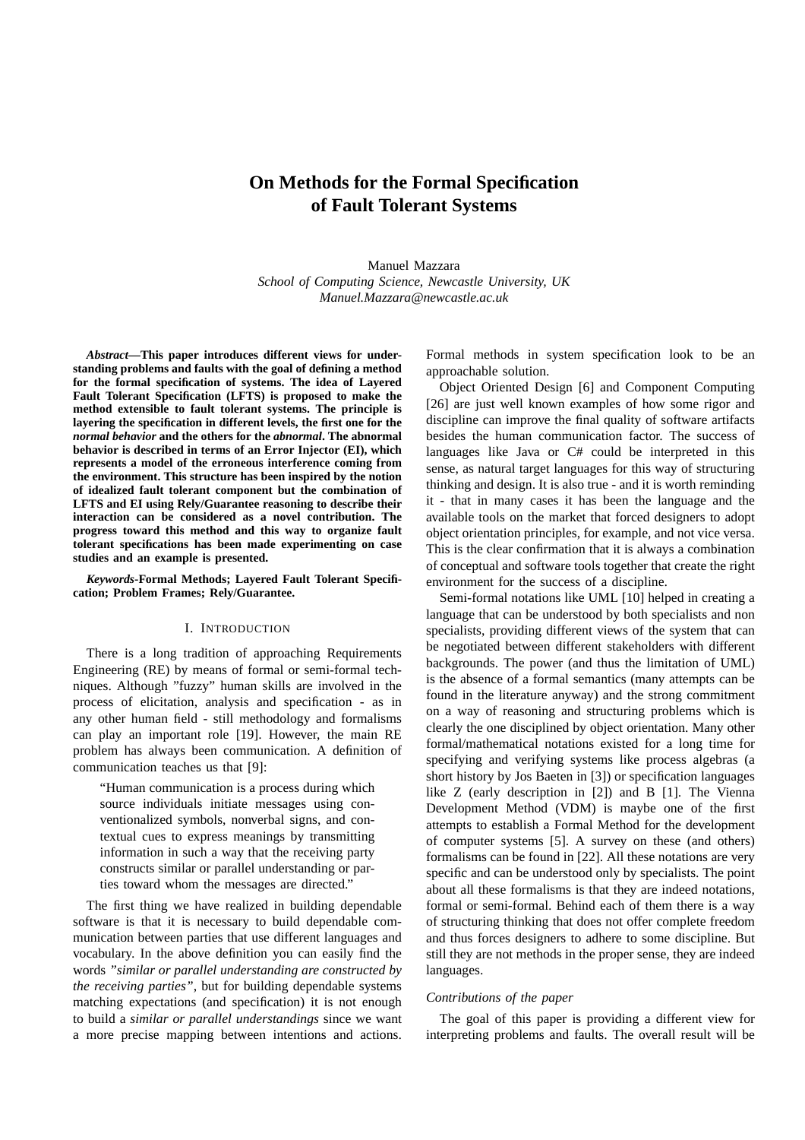# **On Methods for the Formal Specification of Fault Tolerant Systems**

Manuel Mazzara *School of Computing Science, Newcastle University, UK Manuel.Mazzara@newcastle.ac.uk*

*Abstract***—This paper introduces different views for understanding problems and faults with the goal of defining a method for the formal specification of systems. The idea of Layered Fault Tolerant Specification (LFTS) is proposed to make the method extensible to fault tolerant systems. The principle is layering the specification in different levels, the first one for the** *normal behavior* **and the others for the** *abnormal***. The abnormal behavior is described in terms of an Error Injector (EI), which represents a model of the erroneous interference coming from the environment. This structure has been inspired by the notion of idealized fault tolerant component but the combination of LFTS and EI using Rely/Guarantee reasoning to describe their interaction can be considered as a novel contribution. The progress toward this method and this way to organize fault tolerant specifications has been made experimenting on case studies and an example is presented.**

*Keywords***-Formal Methods; Layered Fault Tolerant Specification; Problem Frames; Rely/Guarantee.**

# I. INTRODUCTION

There is a long tradition of approaching Requirements Engineering (RE) by means of formal or semi-formal techniques. Although "fuzzy" human skills are involved in the process of elicitation, analysis and specification - as in any other human field - still methodology and formalisms can play an important role [19]. However, the main RE problem has always been communication. A definition of communication teaches us that [9]:

"Human communication is a process during which source individuals initiate messages using conventionalized symbols, nonverbal signs, and contextual cues to express meanings by transmitting information in such a way that the receiving party constructs similar or parallel understanding or parties toward whom the messages are directed."

The first thing we have realized in building dependable software is that it is necessary to build dependable communication between parties that use different languages and vocabulary. In the above definition you can easily find the words *"similar or parallel understanding are constructed by the receiving parties"*, but for building dependable systems matching expectations (and specification) it is not enough to build a *similar or parallel understandings* since we want a more precise mapping between intentions and actions.

Formal methods in system specification look to be an approachable solution.

Object Oriented Design [6] and Component Computing [26] are just well known examples of how some rigor and discipline can improve the final quality of software artifacts besides the human communication factor. The success of languages like Java or C# could be interpreted in this sense, as natural target languages for this way of structuring thinking and design. It is also true - and it is worth reminding it - that in many cases it has been the language and the available tools on the market that forced designers to adopt object orientation principles, for example, and not vice versa. This is the clear confirmation that it is always a combination of conceptual and software tools together that create the right environment for the success of a discipline.

Semi-formal notations like UML [10] helped in creating a language that can be understood by both specialists and non specialists, providing different views of the system that can be negotiated between different stakeholders with different backgrounds. The power (and thus the limitation of UML) is the absence of a formal semantics (many attempts can be found in the literature anyway) and the strong commitment on a way of reasoning and structuring problems which is clearly the one disciplined by object orientation. Many other formal/mathematical notations existed for a long time for specifying and verifying systems like process algebras (a short history by Jos Baeten in [3]) or specification languages like Z (early description in [2]) and B [1]. The Vienna Development Method (VDM) is maybe one of the first attempts to establish a Formal Method for the development of computer systems [5]. A survey on these (and others) formalisms can be found in [22]. All these notations are very specific and can be understood only by specialists. The point about all these formalisms is that they are indeed notations, formal or semi-formal. Behind each of them there is a way of structuring thinking that does not offer complete freedom and thus forces designers to adhere to some discipline. But still they are not methods in the proper sense, they are indeed languages.

## *Contributions of the paper*

The goal of this paper is providing a different view for interpreting problems and faults. The overall result will be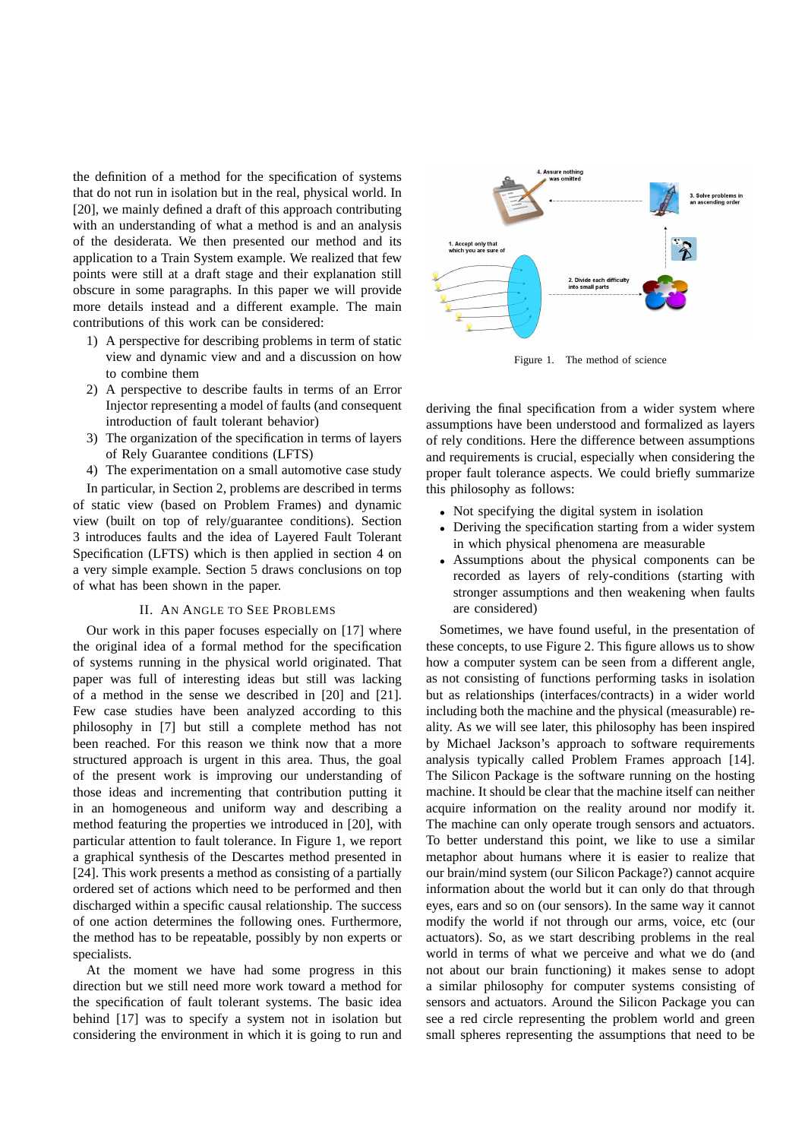the definition of a method for the specification of systems that do not run in isolation but in the real, physical world. In [20], we mainly defined a draft of this approach contributing with an understanding of what a method is and an analysis of the desiderata. We then presented our method and its application to a Train System example. We realized that few points were still at a draft stage and their explanation still obscure in some paragraphs. In this paper we will provide more details instead and a different example. The main contributions of this work can be considered:

- 1) A perspective for describing problems in term of static view and dynamic view and and a discussion on how to combine them
- 2) A perspective to describe faults in terms of an Error Injector representing a model of faults (and consequent introduction of fault tolerant behavior)
- 3) The organization of the specification in terms of layers of Rely Guarantee conditions (LFTS)
- 4) The experimentation on a small automotive case study

In particular, in Section 2, problems are described in terms of static view (based on Problem Frames) and dynamic view (built on top of rely/guarantee conditions). Section 3 introduces faults and the idea of Layered Fault Tolerant Specification (LFTS) which is then applied in section 4 on a very simple example. Section 5 draws conclusions on top of what has been shown in the paper.

#### II. AN ANGLE TO SEE PROBLEMS

Our work in this paper focuses especially on [17] where the original idea of a formal method for the specification of systems running in the physical world originated. That paper was full of interesting ideas but still was lacking of a method in the sense we described in [20] and [21]. Few case studies have been analyzed according to this philosophy in [7] but still a complete method has not been reached. For this reason we think now that a more structured approach is urgent in this area. Thus, the goal of the present work is improving our understanding of those ideas and incrementing that contribution putting it in an homogeneous and uniform way and describing a method featuring the properties we introduced in [20], with particular attention to fault tolerance. In Figure 1, we report a graphical synthesis of the Descartes method presented in [24]. This work presents a method as consisting of a partially ordered set of actions which need to be performed and then discharged within a specific causal relationship. The success of one action determines the following ones. Furthermore, the method has to be repeatable, possibly by non experts or specialists.

At the moment we have had some progress in this direction but we still need more work toward a method for the specification of fault tolerant systems. The basic idea behind [17] was to specify a system not in isolation but considering the environment in which it is going to run and



Figure 1. The method of science

deriving the final specification from a wider system where assumptions have been understood and formalized as layers of rely conditions. Here the difference between assumptions and requirements is crucial, especially when considering the proper fault tolerance aspects. We could briefly summarize this philosophy as follows:

- Not specifying the digital system in isolation
- Deriving the specification starting from a wider system in which physical phenomena are measurable
- Assumptions about the physical components can be recorded as layers of rely-conditions (starting with stronger assumptions and then weakening when faults are considered)

Sometimes, we have found useful, in the presentation of these concepts, to use Figure 2. This figure allows us to show how a computer system can be seen from a different angle, as not consisting of functions performing tasks in isolation but as relationships (interfaces/contracts) in a wider world including both the machine and the physical (measurable) reality. As we will see later, this philosophy has been inspired by Michael Jackson's approach to software requirements analysis typically called Problem Frames approach [14]. The Silicon Package is the software running on the hosting machine. It should be clear that the machine itself can neither acquire information on the reality around nor modify it. The machine can only operate trough sensors and actuators. To better understand this point, we like to use a similar metaphor about humans where it is easier to realize that our brain/mind system (our Silicon Package?) cannot acquire information about the world but it can only do that through eyes, ears and so on (our sensors). In the same way it cannot modify the world if not through our arms, voice, etc (our actuators). So, as we start describing problems in the real world in terms of what we perceive and what we do (and not about our brain functioning) it makes sense to adopt a similar philosophy for computer systems consisting of sensors and actuators. Around the Silicon Package you can see a red circle representing the problem world and green small spheres representing the assumptions that need to be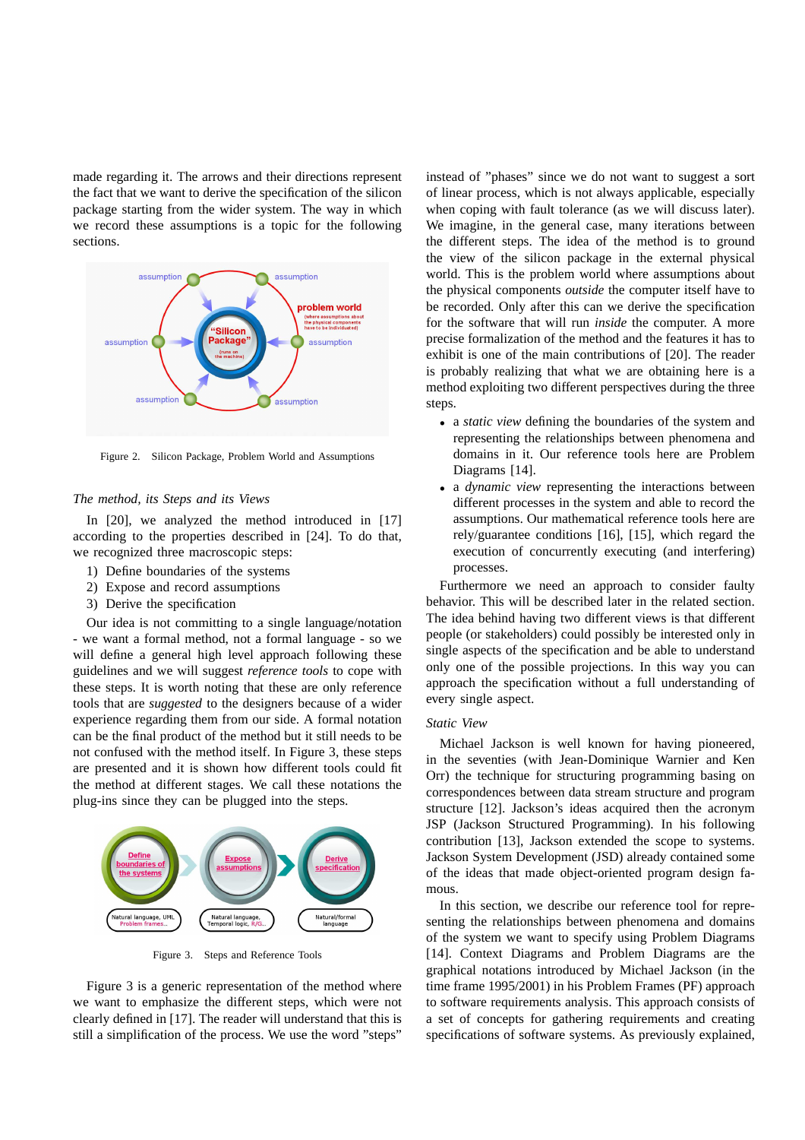made regarding it. The arrows and their directions represent the fact that we want to derive the specification of the silicon package starting from the wider system. The way in which we record these assumptions is a topic for the following sections.



Figure 2. Silicon Package, Problem World and Assumptions

## *The method, its Steps and its Views*

In [20], we analyzed the method introduced in [17] according to the properties described in [24]. To do that, we recognized three macroscopic steps:

- 1) Define boundaries of the systems
- 2) Expose and record assumptions
- 3) Derive the specification

Our idea is not committing to a single language/notation - we want a formal method, not a formal language - so we will define a general high level approach following these guidelines and we will suggest *reference tools* to cope with these steps. It is worth noting that these are only reference tools that are *suggested* to the designers because of a wider experience regarding them from our side. A formal notation can be the final product of the method but it still needs to be not confused with the method itself. In Figure 3, these steps are presented and it is shown how different tools could fit the method at different stages. We call these notations the plug-ins since they can be plugged into the steps.



Figure 3. Steps and Reference Tools

Figure 3 is a generic representation of the method where we want to emphasize the different steps, which were not clearly defined in [17]. The reader will understand that this is still a simplification of the process. We use the word "steps"

instead of "phases" since we do not want to suggest a sort of linear process, which is not always applicable, especially when coping with fault tolerance (as we will discuss later). We imagine, in the general case, many iterations between the different steps. The idea of the method is to ground the view of the silicon package in the external physical world. This is the problem world where assumptions about the physical components *outside* the computer itself have to be recorded. Only after this can we derive the specification for the software that will run *inside* the computer. A more precise formalization of the method and the features it has to exhibit is one of the main contributions of [20]. The reader is probably realizing that what we are obtaining here is a method exploiting two different perspectives during the three steps.

- a *static view* defining the boundaries of the system and representing the relationships between phenomena and domains in it. Our reference tools here are Problem Diagrams [14].
- a *dynamic view* representing the interactions between different processes in the system and able to record the assumptions. Our mathematical reference tools here are rely/guarantee conditions [16], [15], which regard the execution of concurrently executing (and interfering) processes.

Furthermore we need an approach to consider faulty behavior. This will be described later in the related section. The idea behind having two different views is that different people (or stakeholders) could possibly be interested only in single aspects of the specification and be able to understand only one of the possible projections. In this way you can approach the specification without a full understanding of every single aspect.

#### *Static View*

Michael Jackson is well known for having pioneered, in the seventies (with Jean-Dominique Warnier and Ken Orr) the technique for structuring programming basing on correspondences between data stream structure and program structure [12]. Jackson's ideas acquired then the acronym JSP (Jackson Structured Programming). In his following contribution [13], Jackson extended the scope to systems. Jackson System Development (JSD) already contained some of the ideas that made object-oriented program design famous.

In this section, we describe our reference tool for representing the relationships between phenomena and domains of the system we want to specify using Problem Diagrams [14]. Context Diagrams and Problem Diagrams are the graphical notations introduced by Michael Jackson (in the time frame 1995/2001) in his Problem Frames (PF) approach to software requirements analysis. This approach consists of a set of concepts for gathering requirements and creating specifications of software systems. As previously explained,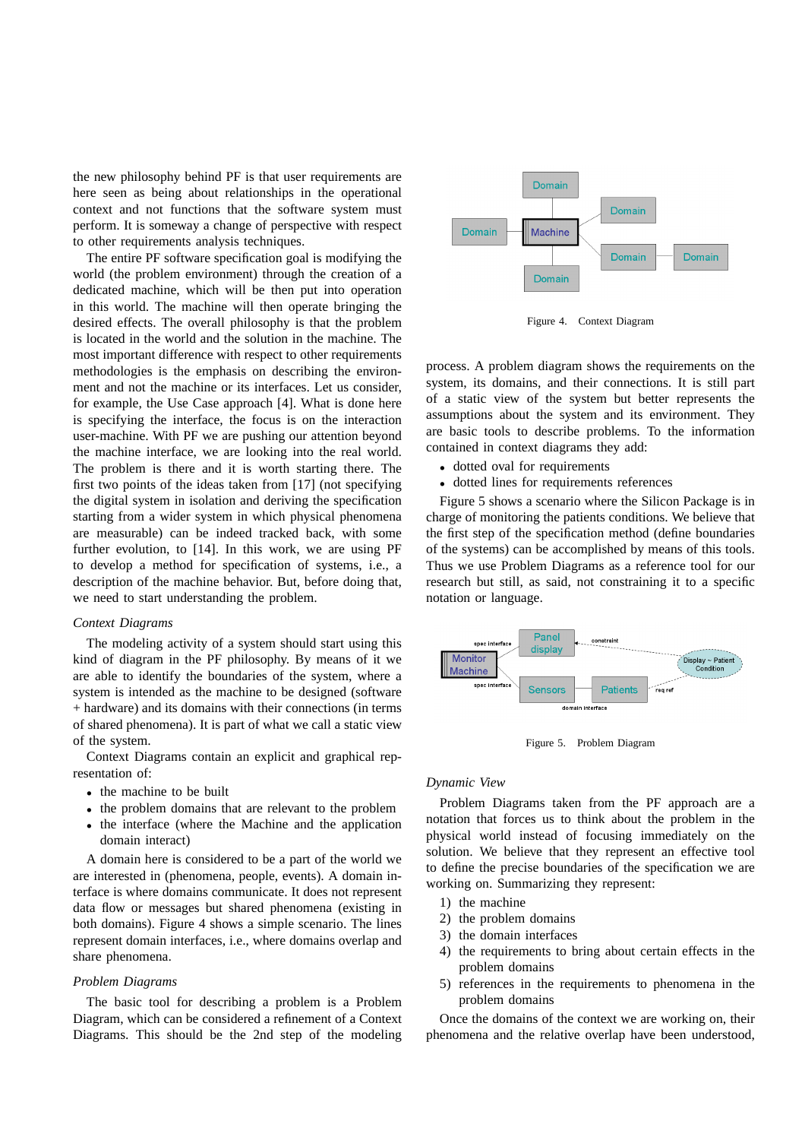the new philosophy behind PF is that user requirements are here seen as being about relationships in the operational context and not functions that the software system must perform. It is someway a change of perspective with respect to other requirements analysis techniques.

The entire PF software specification goal is modifying the world (the problem environment) through the creation of a dedicated machine, which will be then put into operation in this world. The machine will then operate bringing the desired effects. The overall philosophy is that the problem is located in the world and the solution in the machine. The most important difference with respect to other requirements methodologies is the emphasis on describing the environment and not the machine or its interfaces. Let us consider, for example, the Use Case approach [4]. What is done here is specifying the interface, the focus is on the interaction user-machine. With PF we are pushing our attention beyond the machine interface, we are looking into the real world. The problem is there and it is worth starting there. The first two points of the ideas taken from [17] (not specifying the digital system in isolation and deriving the specification starting from a wider system in which physical phenomena are measurable) can be indeed tracked back, with some further evolution, to [14]. In this work, we are using PF to develop a method for specification of systems, i.e., a description of the machine behavior. But, before doing that, we need to start understanding the problem.

## *Context Diagrams*

The modeling activity of a system should start using this kind of diagram in the PF philosophy. By means of it we are able to identify the boundaries of the system, where a system is intended as the machine to be designed (software + hardware) and its domains with their connections (in terms of shared phenomena). It is part of what we call a static view of the system.

Context Diagrams contain an explicit and graphical representation of:

- the machine to be built
- the problem domains that are relevant to the problem
- the interface (where the Machine and the application domain interact)

A domain here is considered to be a part of the world we are interested in (phenomena, people, events). A domain interface is where domains communicate. It does not represent data flow or messages but shared phenomena (existing in both domains). Figure 4 shows a simple scenario. The lines represent domain interfaces, i.e., where domains overlap and share phenomena.

## *Problem Diagrams*

The basic tool for describing a problem is a Problem Diagram, which can be considered a refinement of a Context Diagrams. This should be the 2nd step of the modeling



Figure 4. Context Diagram

process. A problem diagram shows the requirements on the system, its domains, and their connections. It is still part of a static view of the system but better represents the assumptions about the system and its environment. They are basic tools to describe problems. To the information contained in context diagrams they add:

- dotted oval for requirements
- dotted lines for requirements references

Figure 5 shows a scenario where the Silicon Package is in charge of monitoring the patients conditions. We believe that the first step of the specification method (define boundaries of the systems) can be accomplished by means of this tools. Thus we use Problem Diagrams as a reference tool for our research but still, as said, not constraining it to a specific notation or language.



Figure 5. Problem Diagram

### *Dynamic View*

Problem Diagrams taken from the PF approach are a notation that forces us to think about the problem in the physical world instead of focusing immediately on the solution. We believe that they represent an effective tool to define the precise boundaries of the specification we are working on. Summarizing they represent:

- 1) the machine
- 2) the problem domains
- 3) the domain interfaces
- 4) the requirements to bring about certain effects in the problem domains
- 5) references in the requirements to phenomena in the problem domains

Once the domains of the context we are working on, their phenomena and the relative overlap have been understood,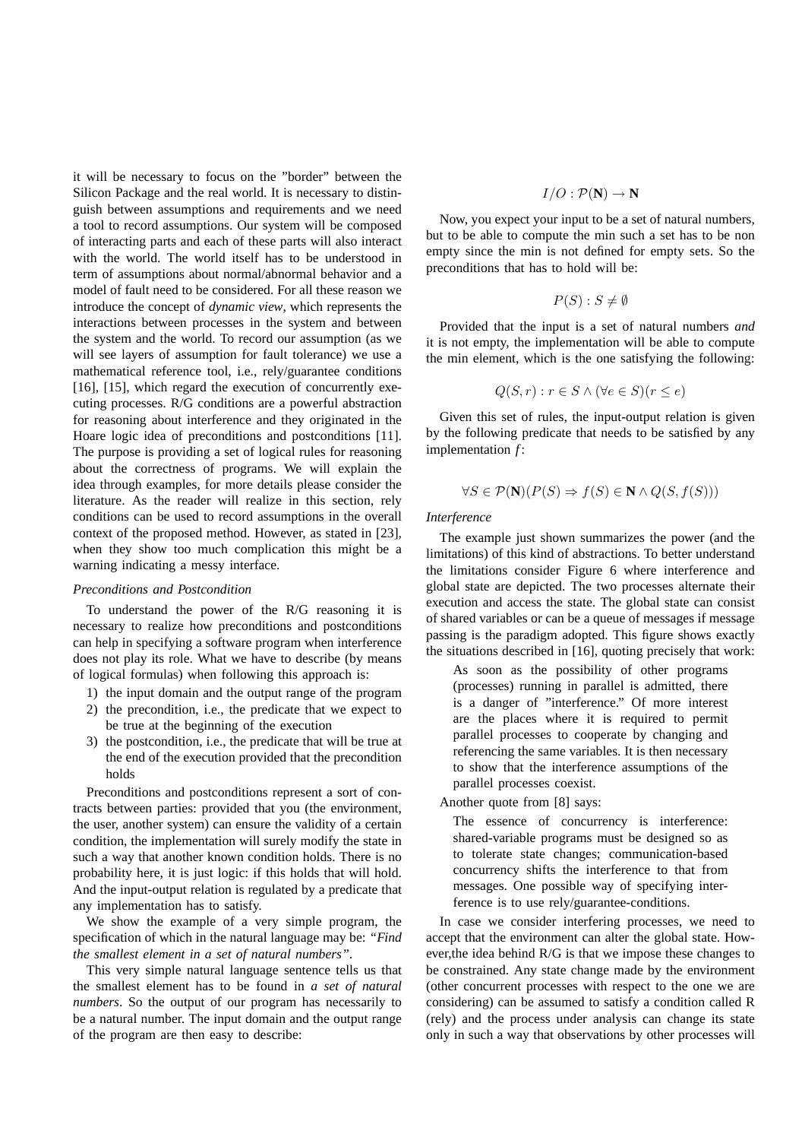it will be necessary to focus on the "border" between the Silicon Package and the real world. It is necessary to distinguish between assumptions and requirements and we need a tool to record assumptions. Our system will be composed of interacting parts and each of these parts will also interact with the world. The world itself has to be understood in term of assumptions about normal/abnormal behavior and a model of fault need to be considered. For all these reason we introduce the concept of *dynamic view*, which represents the interactions between processes in the system and between the system and the world. To record our assumption (as we will see layers of assumption for fault tolerance) we use a mathematical reference tool, i.e., rely/guarantee conditions [16], [15], which regard the execution of concurrently executing processes. R/G conditions are a powerful abstraction for reasoning about interference and they originated in the Hoare logic idea of preconditions and postconditions [11]. The purpose is providing a set of logical rules for reasoning about the correctness of programs. We will explain the idea through examples, for more details please consider the literature. As the reader will realize in this section, rely conditions can be used to record assumptions in the overall context of the proposed method. However, as stated in [23], when they show too much complication this might be a warning indicating a messy interface.

#### *Preconditions and Postcondition*

To understand the power of the R/G reasoning it is necessary to realize how preconditions and postconditions can help in specifying a software program when interference does not play its role. What we have to describe (by means of logical formulas) when following this approach is:

- 1) the input domain and the output range of the program
- 2) the precondition, i.e., the predicate that we expect to be true at the beginning of the execution
- 3) the postcondition, i.e., the predicate that will be true at the end of the execution provided that the precondition holds

Preconditions and postconditions represent a sort of contracts between parties: provided that you (the environment, the user, another system) can ensure the validity of a certain condition, the implementation will surely modify the state in such a way that another known condition holds. There is no probability here, it is just logic: if this holds that will hold. And the input-output relation is regulated by a predicate that any implementation has to satisfy.

We show the example of a very simple program, the specification of which in the natural language may be: *"Find the smallest element in a set of natural numbers"*.

This very simple natural language sentence tells us that the smallest element has to be found in *a set of natural numbers*. So the output of our program has necessarily to be a natural number. The input domain and the output range of the program are then easy to describe:

$$
I/O: \mathcal{P}(\mathbf{N}) \to \mathbf{N}
$$

Now, you expect your input to be a set of natural numbers, but to be able to compute the min such a set has to be non empty since the min is not defined for empty sets. So the preconditions that has to hold will be:

$$
P(S) : S \neq \emptyset
$$

Provided that the input is a set of natural numbers *and* it is not empty, the implementation will be able to compute the min element, which is the one satisfying the following:

$$
Q(S,r) : r \in S \land (\forall e \in S)(r \le e)
$$

Given this set of rules, the input-output relation is given by the following predicate that needs to be satisfied by any implementation *f* :

$$
\forall S \in \mathcal{P}(\mathbf{N})(P(S) \Rightarrow f(S) \in \mathbf{N} \land Q(S, f(S)))
$$

### *Interference*

The example just shown summarizes the power (and the limitations) of this kind of abstractions. To better understand the limitations consider Figure 6 where interference and global state are depicted. The two processes alternate their execution and access the state. The global state can consist of shared variables or can be a queue of messages if message passing is the paradigm adopted. This figure shows exactly the situations described in [16], quoting precisely that work:

As soon as the possibility of other programs (processes) running in parallel is admitted, there is a danger of "interference." Of more interest are the places where it is required to permit parallel processes to cooperate by changing and referencing the same variables. It is then necessary to show that the interference assumptions of the parallel processes coexist.

Another quote from [8] says:

The essence of concurrency is interference: shared-variable programs must be designed so as to tolerate state changes; communication-based concurrency shifts the interference to that from messages. One possible way of specifying interference is to use rely/guarantee-conditions.

In case we consider interfering processes, we need to accept that the environment can alter the global state. However,the idea behind R/G is that we impose these changes to be constrained. Any state change made by the environment (other concurrent processes with respect to the one we are considering) can be assumed to satisfy a condition called R (rely) and the process under analysis can change its state only in such a way that observations by other processes will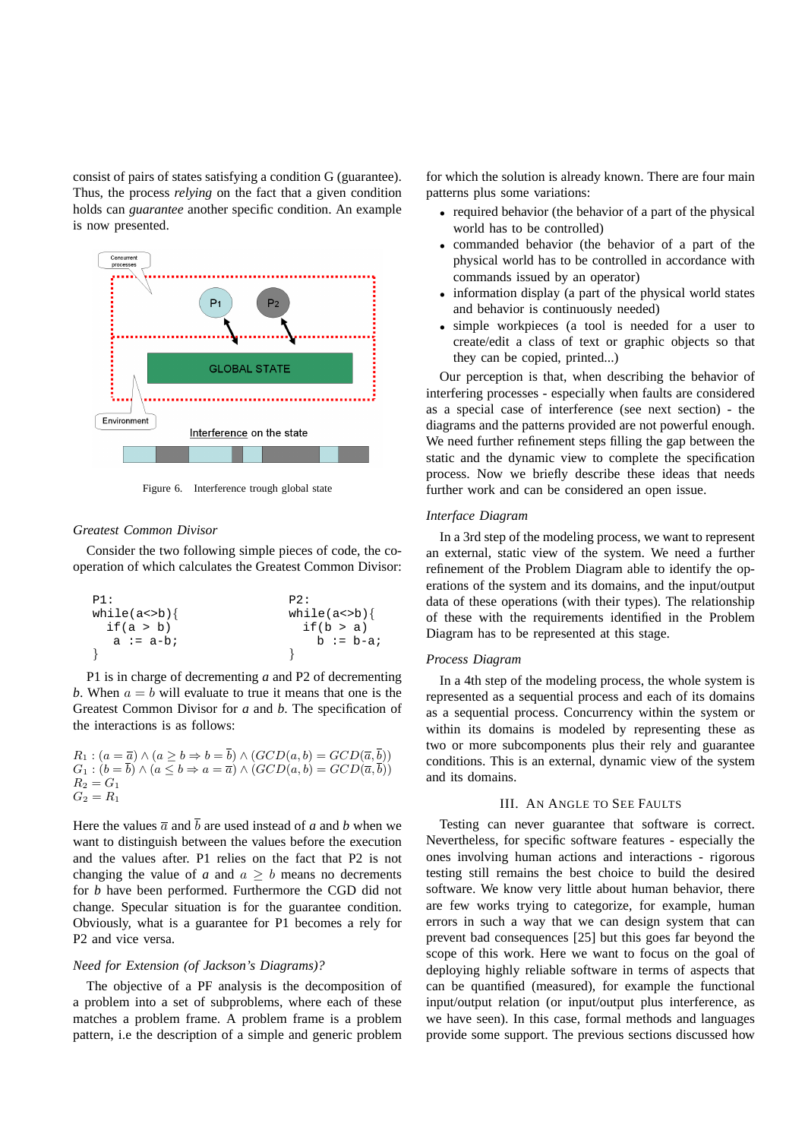consist of pairs of states satisfying a condition G (guarantee). Thus, the process *relying* on the fact that a given condition holds can *guarantee* another specific condition. An example is now presented.



Figure 6. Interference trough global state

## *Greatest Common Divisor*

Consider the two following simple pieces of code, the cooperation of which calculates the Greatest Common Divisor:

```
\n
$$
\begin{array}{ll}\n\text{p1:} & \text{p2:} \\
\text{while}(a < b) \{\n \begin{array}{l}\n \text{if}(a > b) \\
 \text{if}(b > a)\n \end{array}\n \quad \text{while}(a < b) \{\n \begin{array}{l}\n \text{while}(a < b) \\
 \text{if}(b > a)\n \end{array}\n \quad \text{b := b-a:}\n \end{array}\n \end{array}
$$
\n
```

P1 is in charge of decrementing *a* and P2 of decrementing *b*. When  $a = b$  will evaluate to true it means that one is the Greatest Common Divisor for *a* and *b*. The specification of the interactions is as follows:

$$
R_1: (a = \overline{a}) \land (a \ge b \Rightarrow b = b) \land (GCD(a, b) = GCD(\overline{a}, b))
$$
  
\n
$$
G_1: (b = \overline{b}) \land (a \le b \Rightarrow a = \overline{a}) \land (GCD(a, b) = GCD(\overline{a}, \overline{b}))
$$
  
\n
$$
R_2 = G_1
$$
  
\n
$$
G_2 = R_1
$$

Here the values  $\overline{a}$  and  $\overline{b}$  are used instead of *a* and *b* when we want to distinguish between the values before the execution and the values after. P1 relies on the fact that P2 is not changing the value of *a* and  $a \geq b$  means no decrements for *b* have been performed. Furthermore the CGD did not change. Specular situation is for the guarantee condition. Obviously, what is a guarantee for P1 becomes a rely for P2 and vice versa.

## *Need for Extension (of Jackson's Diagrams)?*

The objective of a PF analysis is the decomposition of a problem into a set of subproblems, where each of these matches a problem frame. A problem frame is a problem pattern, i.e the description of a simple and generic problem

for which the solution is already known. There are four main patterns plus some variations:

- required behavior (the behavior of a part of the physical world has to be controlled)
- commanded behavior (the behavior of a part of the physical world has to be controlled in accordance with commands issued by an operator)
- information display (a part of the physical world states and behavior is continuously needed)
- simple workpieces (a tool is needed for a user to create/edit a class of text or graphic objects so that they can be copied, printed...)

Our perception is that, when describing the behavior of interfering processes - especially when faults are considered as a special case of interference (see next section) - the diagrams and the patterns provided are not powerful enough. We need further refinement steps filling the gap between the static and the dynamic view to complete the specification process. Now we briefly describe these ideas that needs further work and can be considered an open issue.

## *Interface Diagram*

In a 3rd step of the modeling process, we want to represent an external, static view of the system. We need a further refinement of the Problem Diagram able to identify the operations of the system and its domains, and the input/output data of these operations (with their types). The relationship of these with the requirements identified in the Problem Diagram has to be represented at this stage.

## *Process Diagram*

In a 4th step of the modeling process, the whole system is represented as a sequential process and each of its domains as a sequential process. Concurrency within the system or within its domains is modeled by representing these as two or more subcomponents plus their rely and guarantee conditions. This is an external, dynamic view of the system and its domains.

#### III. AN ANGLE TO SEE FAULTS

Testing can never guarantee that software is correct. Nevertheless, for specific software features - especially the ones involving human actions and interactions - rigorous testing still remains the best choice to build the desired software. We know very little about human behavior, there are few works trying to categorize, for example, human errors in such a way that we can design system that can prevent bad consequences [25] but this goes far beyond the scope of this work. Here we want to focus on the goal of deploying highly reliable software in terms of aspects that can be quantified (measured), for example the functional input/output relation (or input/output plus interference, as we have seen). In this case, formal methods and languages provide some support. The previous sections discussed how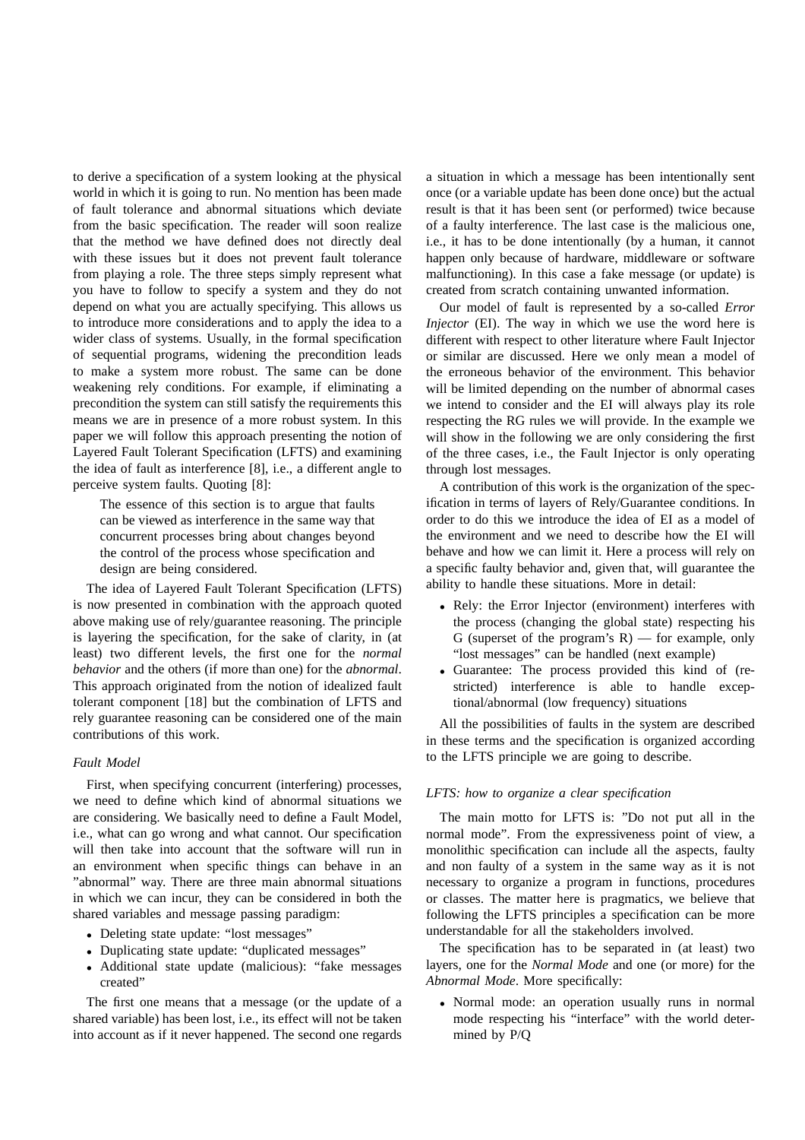to derive a specification of a system looking at the physical world in which it is going to run. No mention has been made of fault tolerance and abnormal situations which deviate from the basic specification. The reader will soon realize that the method we have defined does not directly deal with these issues but it does not prevent fault tolerance from playing a role. The three steps simply represent what you have to follow to specify a system and they do not depend on what you are actually specifying. This allows us to introduce more considerations and to apply the idea to a wider class of systems. Usually, in the formal specification of sequential programs, widening the precondition leads to make a system more robust. The same can be done weakening rely conditions. For example, if eliminating a precondition the system can still satisfy the requirements this means we are in presence of a more robust system. In this paper we will follow this approach presenting the notion of Layered Fault Tolerant Specification (LFTS) and examining the idea of fault as interference [8], i.e., a different angle to perceive system faults. Quoting [8]:

The essence of this section is to argue that faults can be viewed as interference in the same way that concurrent processes bring about changes beyond the control of the process whose specification and design are being considered.

The idea of Layered Fault Tolerant Specification (LFTS) is now presented in combination with the approach quoted above making use of rely/guarantee reasoning. The principle is layering the specification, for the sake of clarity, in (at least) two different levels, the first one for the *normal behavior* and the others (if more than one) for the *abnormal*. This approach originated from the notion of idealized fault tolerant component [18] but the combination of LFTS and rely guarantee reasoning can be considered one of the main contributions of this work.

#### *Fault Model*

First, when specifying concurrent (interfering) processes, we need to define which kind of abnormal situations we are considering. We basically need to define a Fault Model, i.e., what can go wrong and what cannot. Our specification will then take into account that the software will run in an environment when specific things can behave in an "abnormal" way. There are three main abnormal situations in which we can incur, they can be considered in both the shared variables and message passing paradigm:

- Deleting state update: "lost messages"
- Duplicating state update: "duplicated messages"
- Additional state update (malicious): "fake messages created"

The first one means that a message (or the update of a shared variable) has been lost, i.e., its effect will not be taken into account as if it never happened. The second one regards

a situation in which a message has been intentionally sent once (or a variable update has been done once) but the actual result is that it has been sent (or performed) twice because of a faulty interference. The last case is the malicious one, i.e., it has to be done intentionally (by a human, it cannot happen only because of hardware, middleware or software malfunctioning). In this case a fake message (or update) is created from scratch containing unwanted information.

Our model of fault is represented by a so-called *Error Injector* (EI). The way in which we use the word here is different with respect to other literature where Fault Injector or similar are discussed. Here we only mean a model of the erroneous behavior of the environment. This behavior will be limited depending on the number of abnormal cases we intend to consider and the EI will always play its role respecting the RG rules we will provide. In the example we will show in the following we are only considering the first of the three cases, i.e., the Fault Injector is only operating through lost messages.

A contribution of this work is the organization of the specification in terms of layers of Rely/Guarantee conditions. In order to do this we introduce the idea of EI as a model of the environment and we need to describe how the EI will behave and how we can limit it. Here a process will rely on a specific faulty behavior and, given that, will guarantee the ability to handle these situations. More in detail:

- Rely: the Error Injector (environment) interferes with the process (changing the global state) respecting his G (superset of the program's  $R$ ) — for example, only "lost messages" can be handled (next example)
- Guarantee: The process provided this kind of (restricted) interference is able to handle exceptional/abnormal (low frequency) situations

All the possibilities of faults in the system are described in these terms and the specification is organized according to the LFTS principle we are going to describe.

## *LFTS: how to organize a clear specification*

The main motto for LFTS is: "Do not put all in the normal mode". From the expressiveness point of view, a monolithic specification can include all the aspects, faulty and non faulty of a system in the same way as it is not necessary to organize a program in functions, procedures or classes. The matter here is pragmatics, we believe that following the LFTS principles a specification can be more understandable for all the stakeholders involved.

The specification has to be separated in (at least) two layers, one for the *Normal Mode* and one (or more) for the *Abnormal Mode*. More specifically:

• Normal mode: an operation usually runs in normal mode respecting his "interface" with the world determined by P/Q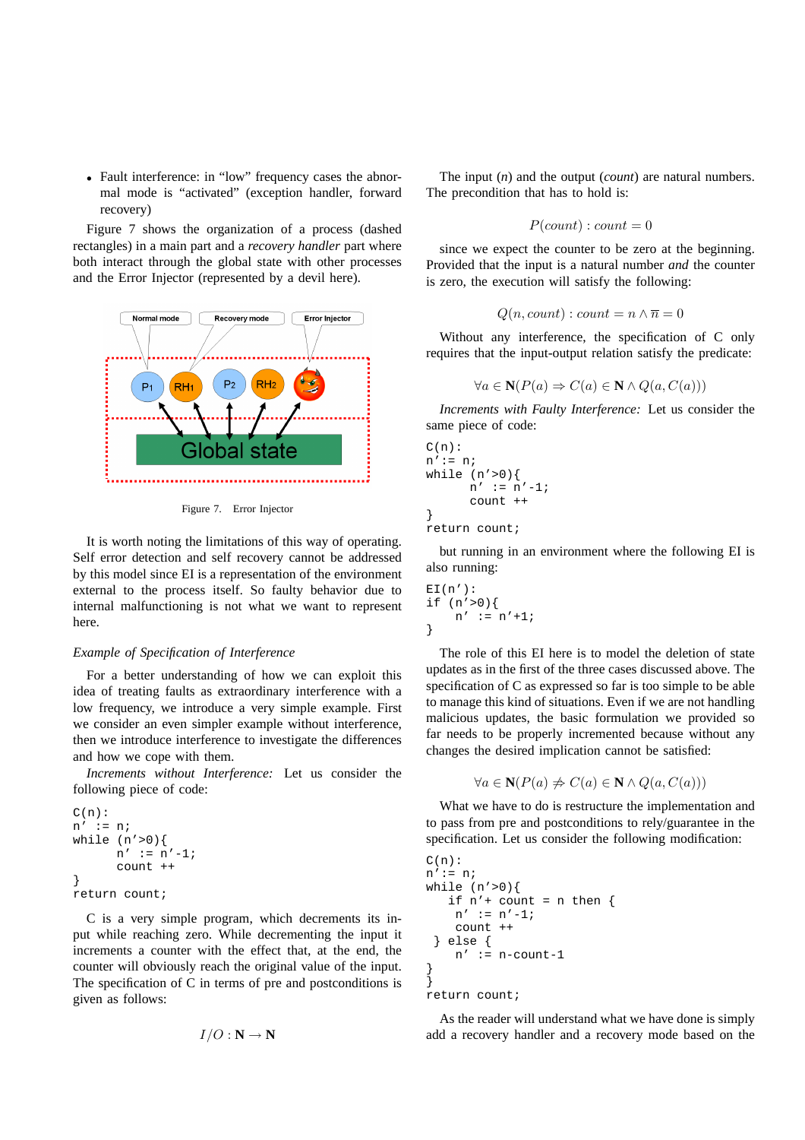• Fault interference: in "low" frequency cases the abnormal mode is "activated" (exception handler, forward recovery)

Figure 7 shows the organization of a process (dashed rectangles) in a main part and a *recovery handler* part where both interact through the global state with other processes and the Error Injector (represented by a devil here).



Figure 7. Error Injector

It is worth noting the limitations of this way of operating. Self error detection and self recovery cannot be addressed by this model since EI is a representation of the environment external to the process itself. So faulty behavior due to internal malfunctioning is not what we want to represent here.

## *Example of Specification of Interference*

For a better understanding of how we can exploit this idea of treating faults as extraordinary interference with a low frequency, we introduce a very simple example. First we consider an even simpler example without interference, then we introduce interference to investigate the differences and how we cope with them.

*Increments without Interference:* Let us consider the following piece of code:

```
C(n):n' := n;while (n' > 0) {
      n' := n' - 1;count ++
}
return count;
```
C is a very simple program, which decrements its input while reaching zero. While decrementing the input it increments a counter with the effect that, at the end, the counter will obviously reach the original value of the input. The specification of C in terms of pre and postconditions is given as follows:

$$
I/O : \mathbf{N} \to \mathbf{N}
$$

The input (*n*) and the output (*count*) are natural numbers. The precondition that has to hold is:

$$
P(count): count = 0
$$

since we expect the counter to be zero at the beginning. Provided that the input is a natural number *and* the counter is zero, the execution will satisfy the following:

$$
Q(n, count) : count = n \land \overline{n} = 0
$$

Without any interference, the specification of C only requires that the input-output relation satisfy the predicate:

$$
\forall a \in \mathbf{N}(P(a) \Rightarrow C(a) \in \mathbf{N} \land Q(a, C(a)))
$$

*Increments with Faulty Interference:* Let us consider the same piece of code:

```
C(n):
n':= n;while (n' > 0) {
      n' := n' - 1;count ++
}
return count;
```
but running in an environment where the following EI is also running:

$$
E I(n') :\nif (n' > 0) {\n n' := n' + 1;\n}
$$

The role of this EI here is to model the deletion of state updates as in the first of the three cases discussed above. The specification of C as expressed so far is too simple to be able to manage this kind of situations. Even if we are not handling malicious updates, the basic formulation we provided so far needs to be properly incremented because without any changes the desired implication cannot be satisfied:

$$
\forall a \in \mathbf{N}(P(a) \neq C(a) \in \mathbf{N} \land Q(a, C(a)))
$$

What we have to do is restructure the implementation and to pass from pre and postconditions to rely/guarantee in the specification. Let us consider the following modification:

```
C(n):
n':= n;
while (n'>0){
   if n'+ count = n then {
    n' := n' - 1;count ++
  } else {
    n' := n-count-1
}
}
return count;
```
As the reader will understand what we have done is simply add a recovery handler and a recovery mode based on the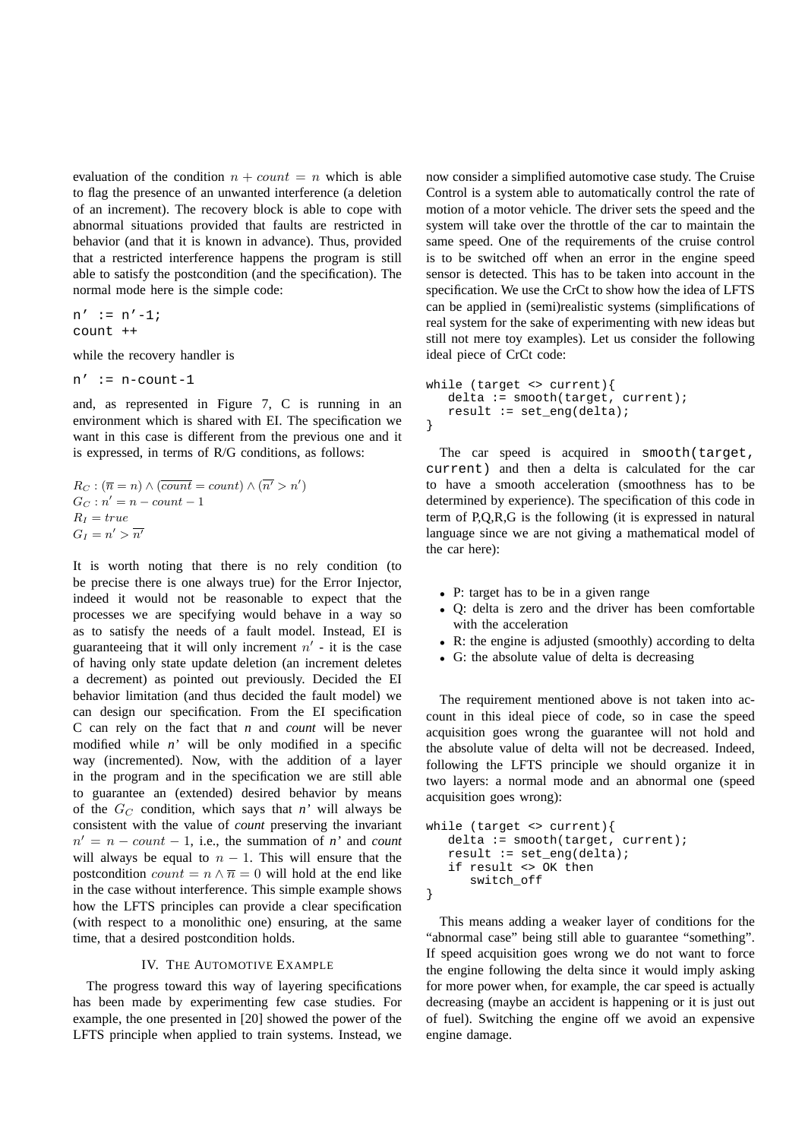evaluation of the condition  $n + count = n$  which is able to flag the presence of an unwanted interference (a deletion of an increment). The recovery block is able to cope with abnormal situations provided that faults are restricted in behavior (and that it is known in advance). Thus, provided that a restricted interference happens the program is still able to satisfy the postcondition (and the specification). The normal mode here is the simple code:

 $n' := n' - 1;$ count ++

while the recovery handler is

```
n' := n-count-1
```
and, as represented in Figure 7, C is running in an environment which is shared with EI. The specification we want in this case is different from the previous one and it is expressed, in terms of R/G conditions, as follows:

$$
R_C : (\overline{n} = n) \land (\overline{count} = count) \land (\overline{n'} > n')
$$
  
\n
$$
G_C : n' = n - count - 1
$$
  
\n
$$
R_I = true
$$
  
\n
$$
G_I = n' > \overline{n'}
$$

It is worth noting that there is no rely condition (to be precise there is one always true) for the Error Injector, indeed it would not be reasonable to expect that the processes we are specifying would behave in a way so as to satisfy the needs of a fault model. Instead, EI is guaranteeing that it will only increment  $n'$  - it is the case of having only state update deletion (an increment deletes a decrement) as pointed out previously. Decided the EI behavior limitation (and thus decided the fault model) we can design our specification. From the EI specification C can rely on the fact that *n* and *count* will be never modified while *n'* will be only modified in a specific way (incremented). Now, with the addition of a layer in the program and in the specification we are still able to guarantee an (extended) desired behavior by means of the  $G_C$  condition, which says that *n'* will always be consistent with the value of *count* preserving the invariant  $n' = n - count - 1$ , i.e., the summation of *n'* and *count* will always be equal to  $n - 1$ . This will ensure that the postcondition  $count = n \wedge \overline{n} = 0$  will hold at the end like in the case without interference. This simple example shows how the LFTS principles can provide a clear specification (with respect to a monolithic one) ensuring, at the same time, that a desired postcondition holds.

#### IV. THE AUTOMOTIVE EXAMPLE

The progress toward this way of layering specifications has been made by experimenting few case studies. For example, the one presented in [20] showed the power of the LFTS principle when applied to train systems. Instead, we now consider a simplified automotive case study. The Cruise Control is a system able to automatically control the rate of motion of a motor vehicle. The driver sets the speed and the system will take over the throttle of the car to maintain the same speed. One of the requirements of the cruise control is to be switched off when an error in the engine speed sensor is detected. This has to be taken into account in the specification. We use the CrCt to show how the idea of LFTS can be applied in (semi)realistic systems (simplifications of real system for the sake of experimenting with new ideas but still not mere toy examples). Let us consider the following ideal piece of CrCt code:

```
while (target <> current){
   delta := smooth(target, current);
   result := set_eng(delta);
}
```
The car speed is acquired in smooth(target, current) and then a delta is calculated for the car to have a smooth acceleration (smoothness has to be determined by experience). The specification of this code in term of P,Q,R,G is the following (it is expressed in natural language since we are not giving a mathematical model of the car here):

- P: target has to be in a given range
- Q: delta is zero and the driver has been comfortable with the acceleration
- R: the engine is adjusted (smoothly) according to delta
- G: the absolute value of delta is decreasing

The requirement mentioned above is not taken into account in this ideal piece of code, so in case the speed acquisition goes wrong the guarantee will not hold and the absolute value of delta will not be decreased. Indeed, following the LFTS principle we should organize it in two layers: a normal mode and an abnormal one (speed acquisition goes wrong):

```
while (target <> current){
   delta := smooth(target, current);result := set_{eng}(delta);
   if result <> OK then
      switch_off
}
```
This means adding a weaker layer of conditions for the "abnormal case" being still able to guarantee "something". If speed acquisition goes wrong we do not want to force the engine following the delta since it would imply asking for more power when, for example, the car speed is actually decreasing (maybe an accident is happening or it is just out of fuel). Switching the engine off we avoid an expensive engine damage.